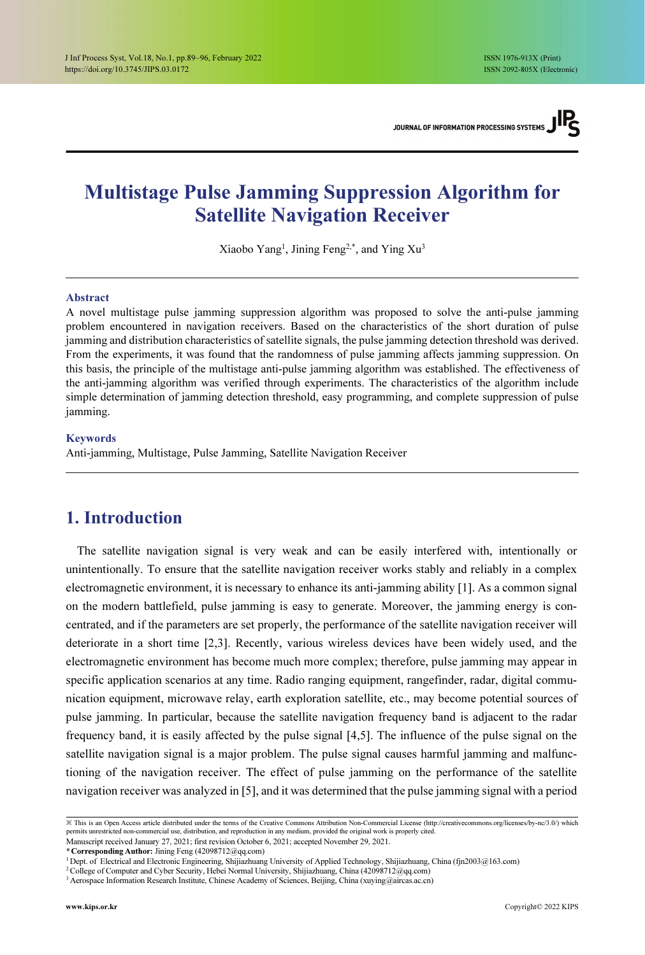# Multistage Pulse Jamming Suppression Algorithm for Satellite Navigation Receiver

Xiaobo Yang<sup>1</sup>, Jining Feng<sup>2,\*</sup>, and Ying Xu<sup>3</sup>

#### Abstract

A novel multistage pulse jamming suppression algorithm was proposed to solve the anti-pulse jamming problem encountered in navigation receivers. Based on the characteristics of the short duration of pulse jamming and distribution characteristics of satellite signals, the pulse jamming detection threshold was derived. From the experiments, it was found that the randomness of pulse jamming affects jamming suppression. On this basis, the principle of the multistage anti-pulse jamming algorithm was established. The effectiveness of the anti-jamming algorithm was verified through experiments. The characteristics of the algorithm include simple determination of jamming detection threshold, easy programming, and complete suppression of pulse jamming.

#### Keywords

Anti-jamming, Multistage, Pulse Jamming, Satellite Navigation Receiver

# 1. Introduction

The satellite navigation signal is very weak and can be easily interfered with, intentionally or unintentionally. To ensure that the satellite navigation receiver works stably and reliably in a complex electromagnetic environment, it is necessary to enhance its anti-jamming ability [1]. As a common signal on the modern battlefield, pulse jamming is easy to generate. Moreover, the jamming energy is concentrated, and if the parameters are set properly, the performance of the satellite navigation receiver will deteriorate in a short time [2,3]. Recently, various wireless devices have been widely used, and the electromagnetic environment has become much more complex; therefore, pulse jamming may appear in specific application scenarios at any time. Radio ranging equipment, rangefinder, radar, digital communication equipment, microwave relay, earth exploration satellite, etc., may become potential sources of pulse jamming. In particular, because the satellite navigation frequency band is adjacent to the radar frequency band, it is easily affected by the pulse signal [4,5]. The influence of the pulse signal on the satellite navigation signal is a major problem. The pulse signal causes harmful jamming and malfunctioning of the navigation receiver. The effect of pulse jamming on the performance of the satellite navigation receiver was analyzed in [5], and it was determined that the pulse jamming signal with a period

Manuscript received January 27, 2021; first revision October 6, 2021; accepted November 29, 2021.

\*Corresponding Author: Jining Feng (42098712@qq.com) <sup>1</sup>

<sup>※</sup> This is an Open Access article distributed under the terms of the Creative Commons Attribution Non-Commercial License (http://creativecommons.org/licenses/by-nc/3.0/) which permits unrestricted non-commercial use, distribution, and reproduction in any medium, provided the original work is properly cited.

<sup>&</sup>lt;sup>1</sup> Dept. of Electrical and Electronic Engineering, Shijiazhuang University of Applied Technology, Shijiazhuang, China (fjn2003@163.com)

<sup>&</sup>lt;sup>2</sup> College of Computer and Cyber Security, Hebei Normal University, Shijiazhuang, China (42098712@qq.com)

<sup>&</sup>lt;sup>3</sup> Aerospace Information Research Institute, Chinese Academy of Sciences, Beijing, China (xuying@aircas.ac.cn)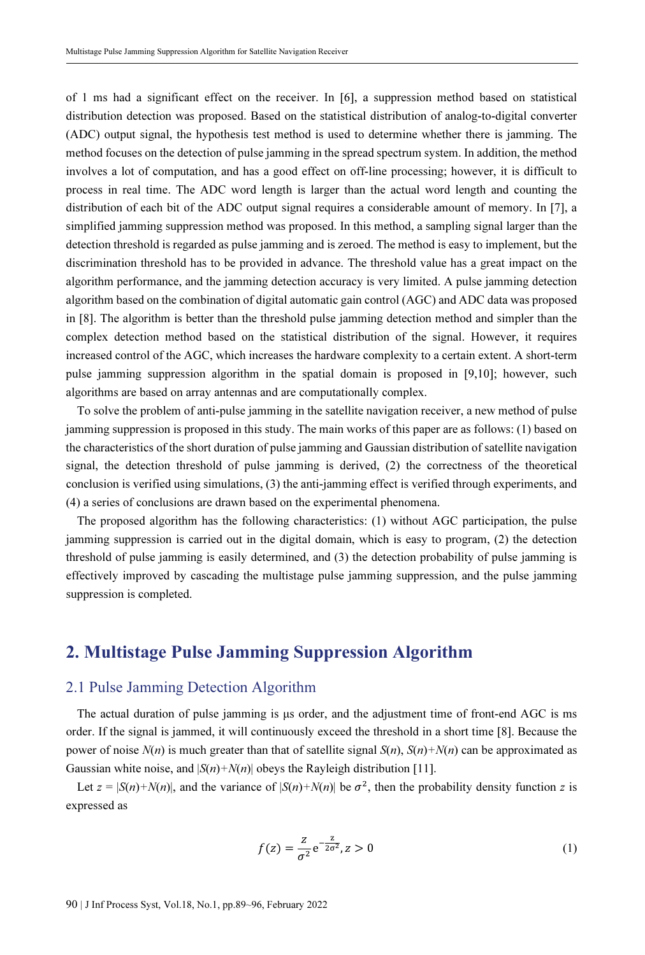of 1 ms had a significant effect on the receiver. In [6], a suppression method based on statistical distribution detection was proposed. Based on the statistical distribution of analog-to-digital converter (ADC) output signal, the hypothesis test method is used to determine whether there is jamming. The method focuses on the detection of pulse jamming in the spread spectrum system. In addition, the method involves a lot of computation, and has a good effect on off-line processing; however, it is difficult to process in real time. The ADC word length is larger than the actual word length and counting the distribution of each bit of the ADC output signal requires a considerable amount of memory. In [7], a simplified jamming suppression method was proposed. In this method, a sampling signal larger than the detection threshold is regarded as pulse jamming and is zeroed. The method is easy to implement, but the discrimination threshold has to be provided in advance. The threshold value has a great impact on the algorithm performance, and the jamming detection accuracy is very limited. A pulse jamming detection algorithm based on the combination of digital automatic gain control (AGC) and ADC data was proposed in [8]. The algorithm is better than the threshold pulse jamming detection method and simpler than the complex detection method based on the statistical distribution of the signal. However, it requires increased control of the AGC, which increases the hardware complexity to a certain extent. A short-term pulse jamming suppression algorithm in the spatial domain is proposed in [9,10]; however, such algorithms are based on array antennas and are computationally complex.

To solve the problem of anti-pulse jamming in the satellite navigation receiver, a new method of pulse jamming suppression is proposed in this study. The main works of this paper are as follows: (1) based on the characteristics of the short duration of pulse jamming and Gaussian distribution of satellite navigation signal, the detection threshold of pulse jamming is derived, (2) the correctness of the theoretical conclusion is verified using simulations, (3) the anti-jamming effect is verified through experiments, and (4) a series of conclusions are drawn based on the experimental phenomena.

The proposed algorithm has the following characteristics: (1) without AGC participation, the pulse jamming suppression is carried out in the digital domain, which is easy to program, (2) the detection threshold of pulse jamming is easily determined, and (3) the detection probability of pulse jamming is effectively improved by cascading the multistage pulse jamming suppression, and the pulse jamming suppression is completed.

# 2. Multistage Pulse Jamming Suppression Algorithm

### 2.1 Pulse Jamming Detection Algorithm

The actual duration of pulse jamming is μs order, and the adjustment time of front-end AGC is ms order. If the signal is jammed, it will continuously exceed the threshold in a short time [8]. Because the power of noise  $N(n)$  is much greater than that of satellite signal  $S(n)$ ,  $S(n)+N(n)$  can be approximated as Gaussian white noise, and  $|S(n)+N(n)|$  obeys the Rayleigh distribution [11].

Let  $z = |S(n)+N(n)|$ , and the variance of  $|S(n)+N(n)|$  be  $\sigma^2$ , then the probability density function z is expressed as

$$
f(z) = \frac{z}{\sigma^2} e^{-\frac{z}{2\sigma^2}}, z > 0
$$
 (1)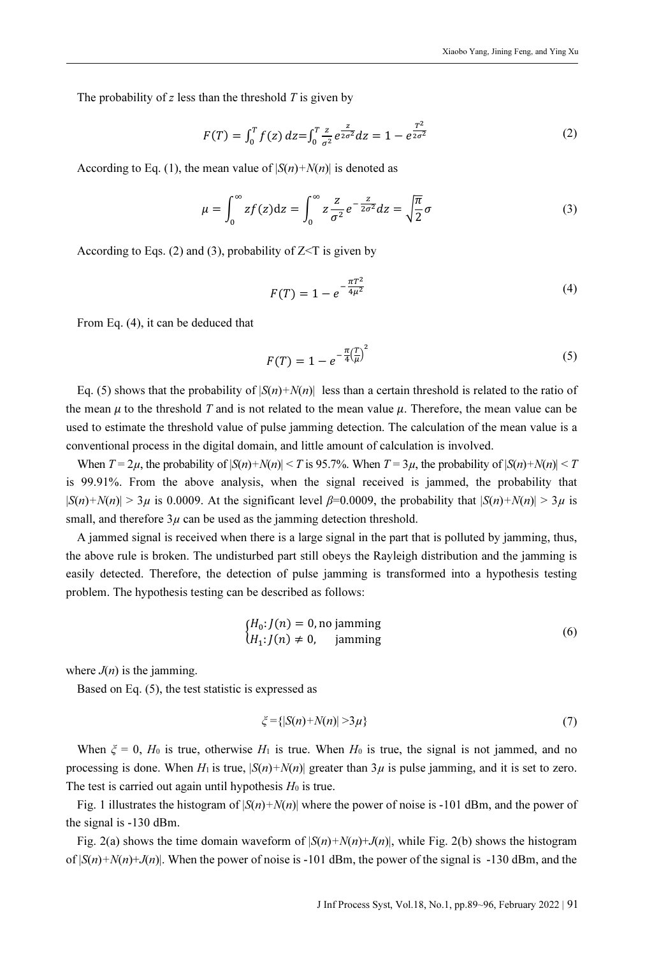The probability of z less than the threshold  $T$  is given by

$$
F(T) = \int_0^T f(z) \, dz = \int_0^T \frac{z}{\sigma^2} \, e^{\frac{z}{2\sigma^2}} \, dz = 1 - e^{\frac{T^2}{2\sigma^2}} \tag{2}
$$

According to Eq. (1), the mean value of  $|S(n)+N(n)|$  is denoted as

$$
\mu = \int_0^\infty z f(z) dz = \int_0^\infty z \frac{z}{\sigma^2} e^{-\frac{z}{2\sigma^2}} dz = \sqrt{\frac{\pi}{2}} \sigma \tag{3}
$$

According to Eqs. (2) and (3), probability of  $Z \leq T$  is given by

$$
F(T) = 1 - e^{-\frac{\pi T^2}{4\mu^2}}
$$
 (4)

From Eq. (4), it can be deduced that

$$
F(T) = 1 - e^{-\frac{\pi}{4} \left(\frac{T}{\mu}\right)^2}
$$
\n(5)

Eq. (5) shows that the probability of  $|S(n)+N(n)|$  less than a certain threshold is related to the ratio of the mean  $\mu$  to the threshold T and is not related to the mean value  $\mu$ . Therefore, the mean value can be used to estimate the threshold value of pulse jamming detection. The calculation of the mean value is a conventional process in the digital domain, and little amount of calculation is involved.

When  $T = 2\mu$ , the probability of  $|S(n)+N(n)| \le T$  is 95.7%. When  $T = 3\mu$ , the probability of  $|S(n)+N(n)| \le T$ is 99.91%. From the above analysis, when the signal received is jammed, the probability that  $|S(n)+N(n)| > 3\mu$  is 0.0009. At the significant level  $\beta=0.0009$ , the probability that  $|S(n)+N(n)| > 3\mu$  is small, and therefore  $3\mu$  can be used as the jamming detection threshold.

A jammed signal is received when there is a large signal in the part that is polluted by jamming, thus, the above rule is broken. The undisturbed part still obeys the Rayleigh distribution and the jamming is easily detected. Therefore, the detection of pulse jamming is transformed into a hypothesis testing problem. The hypothesis testing can be described as follows:

$$
\begin{aligned} \n\text{(H}_0: J(n) = 0, \text{no jamming} \\ \n\text{(H}_1: J(n) \neq 0, \quad \text{jamming} \n\end{aligned} \n\tag{6}
$$

where  $J(n)$  is the jamming.

Based on Eq. (5), the test statistic is expressed as

$$
\xi = \{|S(n) + N(n)| > 3\mu\} \tag{7}
$$

When  $\xi = 0$ ,  $H_0$  is true, otherwise  $H_1$  is true. When  $H_0$  is true, the signal is not jammed, and no processing is done. When  $H_1$  is true,  $|S(n)+N(n)|$  greater than  $3\mu$  is pulse jamming, and it is set to zero. The test is carried out again until hypothesis  $H_0$  is true.

Fig. 1 illustrates the histogram of  $|S(n)+N(n)|$  where the power of noise is -101 dBm, and the power of the signal is -130 dBm.

Fig. 2(a) shows the time domain waveform of  $|S(n)+N(n)+J(n)|$ , while Fig. 2(b) shows the histogram of  $|S(n)+N(n)+J(n)|$ . When the power of noise is -101 dBm, the power of the signal is -130 dBm, and the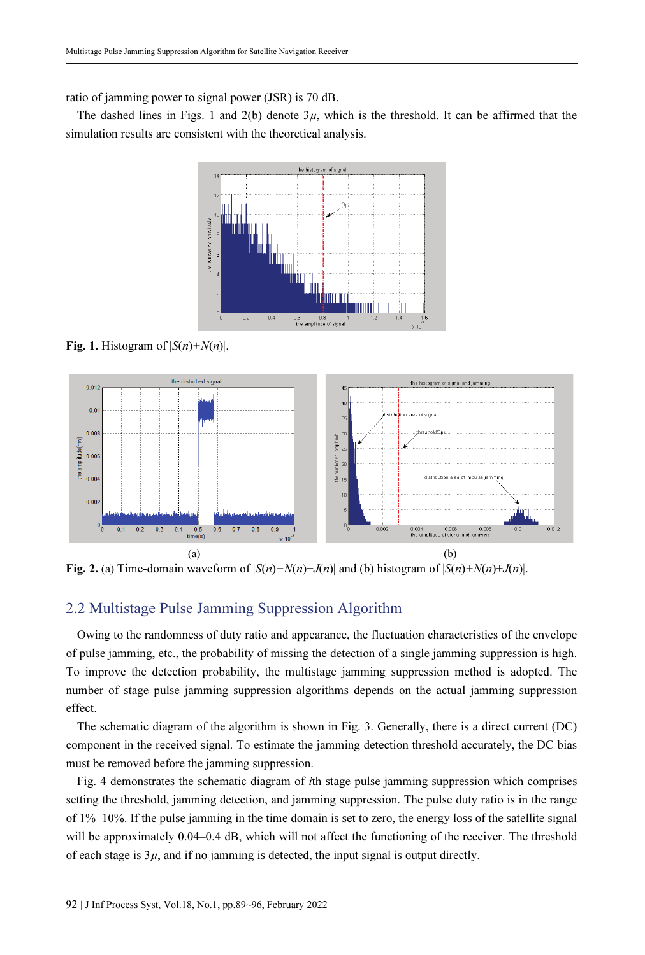ratio of jamming power to signal power (JSR) is 70 dB.

The dashed lines in Figs. 1 and  $2(b)$  denote  $3\mu$ , which is the threshold. It can be affirmed that the simulation results are consistent with the theoretical analysis.



**Fig. 1.** Histogram of  $|S(n)+N(n)|$ .



**Fig. 2.** (a) Time-domain waveform of  $|S(n)+N(n)+J(n)|$  and (b) histogram of  $|S(n)+N(n)+J(n)|$ .

### 2.2 Multistage Pulse Jamming Suppression Algorithm

Owing to the randomness of duty ratio and appearance, the fluctuation characteristics of the envelope of pulse jamming, etc., the probability of missing the detection of a single jamming suppression is high. To improve the detection probability, the multistage jamming suppression method is adopted. The number of stage pulse jamming suppression algorithms depends on the actual jamming suppression effect.

The schematic diagram of the algorithm is shown in Fig. 3. Generally, there is a direct current (DC) component in the received signal. To estimate the jamming detection threshold accurately, the DC bias must be removed before the jamming suppression.

Fig. 4 demonstrates the schematic diagram of ith stage pulse jamming suppression which comprises setting the threshold, jamming detection, and jamming suppression. The pulse duty ratio is in the range of 1%–10%. If the pulse jamming in the time domain is set to zero, the energy loss of the satellite signal will be approximately 0.04–0.4 dB, which will not affect the functioning of the receiver. The threshold of each stage is  $3\mu$ , and if no jamming is detected, the input signal is output directly.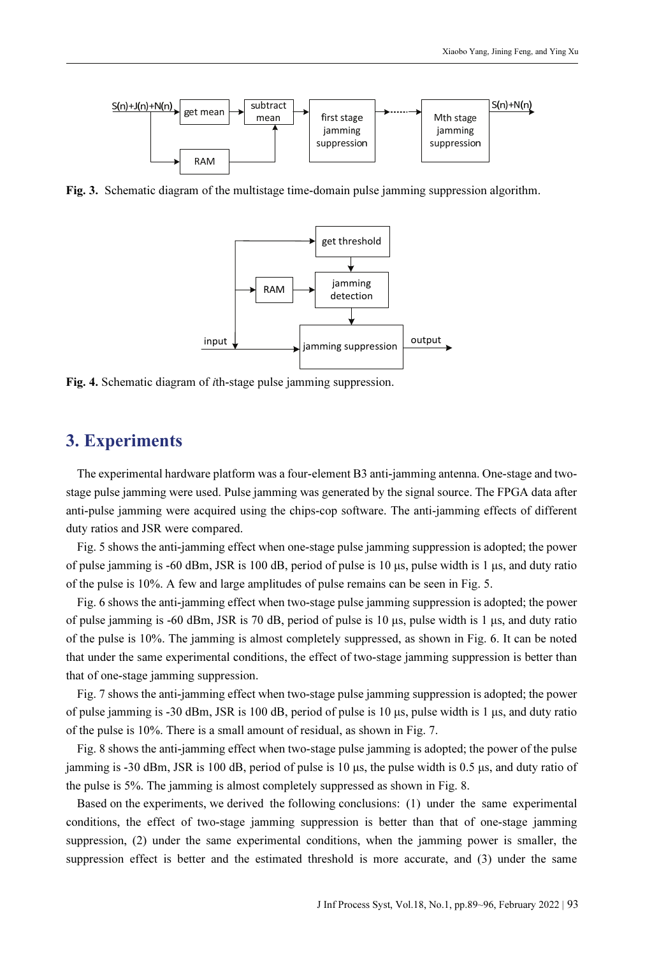

Fig. 3. Schematic diagram of the multistage time-domain pulse jamming suppression algorithm.



Fig. 4. Schematic diagram of ith-stage pulse jamming suppression.

### 3. Experiments

The experimental hardware platform was a four-element B3 anti-jamming antenna. One-stage and twostage pulse jamming were used. Pulse jamming was generated by the signal source. The FPGA data after anti-pulse jamming were acquired using the chips-cop software. The anti-jamming effects of different duty ratios and JSR were compared.

Fig. 5 shows the anti-jamming effect when one-stage pulse jamming suppression is adopted; the power of pulse jamming is -60 dBm, JSR is 100 dB, period of pulse is 10 μs, pulse width is 1 μs, and duty ratio of the pulse is 10%. A few and large amplitudes of pulse remains can be seen in Fig. 5.

Fig. 6 shows the anti-jamming effect when two-stage pulse jamming suppression is adopted; the power of pulse jamming is -60 dBm, JSR is 70 dB, period of pulse is 10 μs, pulse width is 1 μs, and duty ratio of the pulse is 10%. The jamming is almost completely suppressed, as shown in Fig. 6. It can be noted that under the same experimental conditions, the effect of two-stage jamming suppression is better than that of one-stage jamming suppression.

Fig. 7 shows the anti-jamming effect when two-stage pulse jamming suppression is adopted; the power of pulse jamming is -30 dBm, JSR is 100 dB, period of pulse is 10 μs, pulse width is 1 μs, and duty ratio of the pulse is 10%. There is a small amount of residual, as shown in Fig. 7.

Fig. 8 shows the anti-jamming effect when two-stage pulse jamming is adopted; the power of the pulse jamming is -30 dBm, JSR is 100 dB, period of pulse is 10 μs, the pulse width is 0.5 μs, and duty ratio of the pulse is 5%. The jamming is almost completely suppressed as shown in Fig. 8.

Based on the experiments, we derived the following conclusions: (1) under the same experimental conditions, the effect of two-stage jamming suppression is better than that of one-stage jamming suppression, (2) under the same experimental conditions, when the jamming power is smaller, the suppression effect is better and the estimated threshold is more accurate, and (3) under the same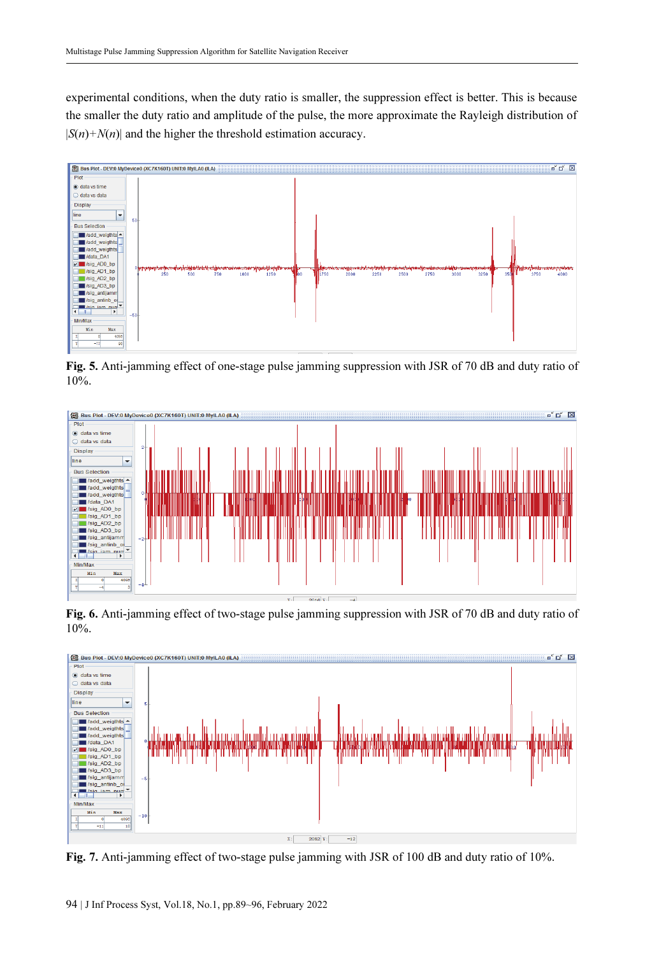experimental conditions, when the duty ratio is smaller, the suppression effect is better. This is because the smaller the duty ratio and amplitude of the pulse, the more approximate the Rayleigh distribution of  $|S(n)+N(n)|$  and the higher the threshold estimation accuracy.



Fig. 5. Anti-jamming effect of one-stage pulse jamming suppression with JSR of 70 dB and duty ratio of 10%.



Fig. 6. Anti-jamming effect of two-stage pulse jamming suppression with JSR of 70 dB and duty ratio of 10%.



Fig. 7. Anti-jamming effect of two-stage pulse jamming with JSR of 100 dB and duty ratio of 10%.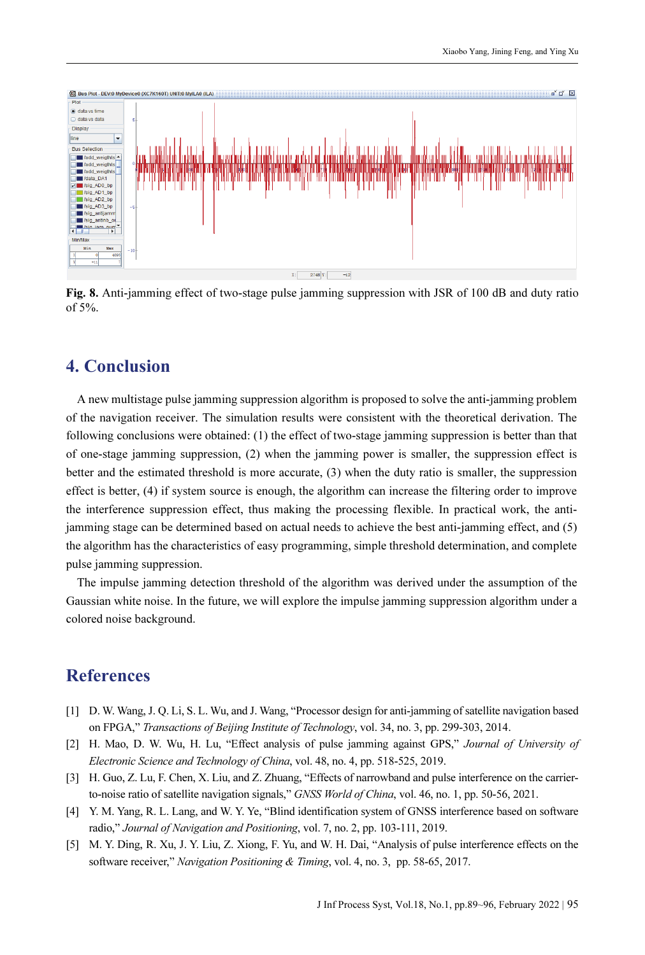

Fig. 8. Anti-jamming effect of two-stage pulse jamming suppression with JSR of 100 dB and duty ratio of 5%.

### 4. Conclusion

A new multistage pulse jamming suppression algorithm is proposed to solve the anti-jamming problem of the navigation receiver. The simulation results were consistent with the theoretical derivation. The following conclusions were obtained: (1) the effect of two-stage jamming suppression is better than that of one-stage jamming suppression, (2) when the jamming power is smaller, the suppression effect is better and the estimated threshold is more accurate, (3) when the duty ratio is smaller, the suppression effect is better, (4) if system source is enough, the algorithm can increase the filtering order to improve the interference suppression effect, thus making the processing flexible. In practical work, the antijamming stage can be determined based on actual needs to achieve the best anti-jamming effect, and (5) the algorithm has the characteristics of easy programming, simple threshold determination, and complete pulse jamming suppression.

The impulse jamming detection threshold of the algorithm was derived under the assumption of the Gaussian white noise. In the future, we will explore the impulse jamming suppression algorithm under a colored noise background.

### References

- [1] D. W. Wang, J. Q. Li, S. L. Wu, and J. Wang, "Processor design for anti-jamming of satellite navigation based on FPGA," Transactions of Beijing Institute of Technology, vol. 34, no. 3, pp. 299-303, 2014.
- [2] H. Mao, D. W. Wu, H. Lu, "Effect analysis of pulse jamming against GPS," Journal of University of Electronic Science and Technology of China, vol. 48, no. 4, pp. 518-525, 2019.
- [3] H. Guo, Z. Lu, F. Chen, X. Liu, and Z. Zhuang, "Effects of narrowband and pulse interference on the carrierto-noise ratio of satellite navigation signals," GNSS World of China, vol. 46, no. 1, pp. 50-56, 2021.
- [4] Y. M. Yang, R. L. Lang, and W. Y. Ye, "Blind identification system of GNSS interference based on software radio," Journal of Navigation and Positioning, vol. 7, no. 2, pp. 103-111, 2019.
- [5] M. Y. Ding, R. Xu, J. Y. Liu, Z. Xiong, F. Yu, and W. H. Dai, "Analysis of pulse interference effects on the software receiver," Navigation Positioning & Timing, vol. 4, no. 3, pp. 58-65, 2017.